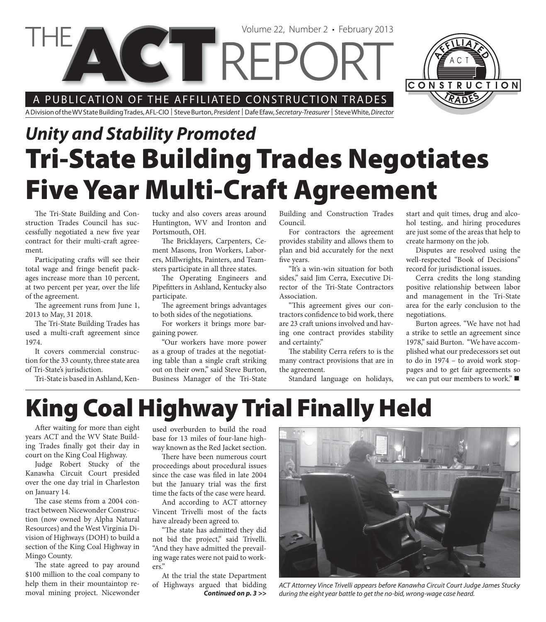Volume 22, Number 2 • February 2013

A PUBLICATION OF THE AFFILIATED CONSTRUCTION TRADES

CTRI

A Division of the WV State Building Trades, AFL-CIO | Steve Burton, President | Dafe Efaw, Secretary-Treasurer | Steve White, Director

# *Unity and Stability Promoted* **Tri-State Building Trades Negotiates Five Year Multi-Craft Agreement**

The Tri-State Building and Construction Trades Council has successfully negotiated a new five year contract for their multi-craft agreement.

Participating crafts will see their total wage and fringe benefit packages increase more than 10 percent, at two percent per year, over the life of the agreement.

The agreement runs from June 1, 2013 to May, 31 2018.

The Tri-State Building Trades has used a multi-craft agreement since 1974.

It covers commercial construction for the 33 county, three state area of Tri-State's jurisdiction.

Tri-State is based in Ashland, Ken-

tucky and also covers areas around Huntington, WV and Ironton and Portsmouth, OH.

The Bricklayers, Carpenters, Cement Masons, Iron Workers, Laborers, Millwrights, Painters, and Teamsters participate in all three states.

The Operating Engineers and Pipefitters in Ashland, Kentucky also participate.

The agreement brings advantages to both sides of the negotiations.

For workers it brings more bargaining power.

"Our workers have more power as a group of trades at the negotiating table than a single craft striking out on their own," said Steve Burton, Business Manager of the Tri-State Building and Construction Trades Council.

For contractors the agreement provides stability and allows them to plan and bid accurately for the next five years.

"It's a win-win situation for both sides," said Jim Cerra, Executive Director of the Tri-State Contractors Association.

"This agreement gives our contractors confidence to bid work, there are 23 craft unions involved and having one contract provides stability and certainty."

The stability Cerra refers to is the many contract provisions that are in the agreement.

Standard language on holidays,

start and quit times, drug and alcohol testing, and hiring procedures are just some of the areas that help to create harmony on the job.

Disputes are resolved using the well-respected "Book of Decisions" record for jurisdictional issues.

Cerra credits the long standing positive relationship between labor and management in the Tri-State area for the early conclusion to the negotiations.

Burton agrees. "We have not had a strike to settle an agreement since 1978," said Burton. "We have accomplished what our predecessors set out to do in 1974 – to avoid work stoppages and to get fair agreements so we can put our members to work." ■

## **King Coal Highway Trial Finally Held**

After waiting for more than eight years ACT and the WV State Building Trades finally got their day in court on the King Coal Highway.

Judge Robert Stucky of the Kanawha Circuit Court presided over the one day trial in Charleston on January 14.

The case stems from a 2004 contract between Nicewonder Construction (now owned by Alpha Natural Resources) and the West Virginia Division of Highways (DOH) to build a section of the King Coal Highway in Mingo County.

The state agreed to pay around \$100 million to the coal company to help them in their mountaintop removal mining project. Nicewonder

used overburden to build the road base for 13 miles of four-lane highway known as the Red Jacket section.

There have been numerous court proceedings about procedural issues since the case was filed in late 2004 but the January trial was the first time the facts of the case were heard.

And according to ACT attorney Vincent Trivelli most of the facts have already been agreed to.

"The state has admitted they did not bid the project," said Trivelli. "And they have admitted the prevailing wage rates were not paid to workers."

*Continued on p. 3 >>* At the trial the state Department of Highways argued that bidding



ACT Attorney Vince Trivelli appears before Kanawha Circuit Court Judge James Stucky during the eight year battle to get the no-bid, wrong-wage case heard.

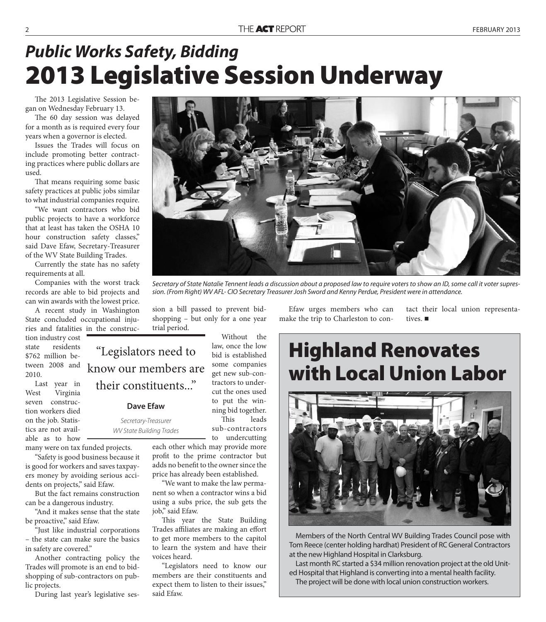#### *Public Works Safety, Bidding* **2013 Legislative Session Underway**

The 2013 Legislative Session began on Wednesday February 13.

The 60 day session was delayed for a month as is required every four years when a governor is elected.

Issues the Trades will focus on include promoting better contracting practices where public dollars are used.

That means requiring some basic safety practices at public jobs similar to what industrial companies require.

"We want contractors who bid public projects to have a workforce that at least has taken the OSHA 10 hour construction safety classes," said Dave Efaw, Secretary-Treasurer of the WV State Building Trades.

Currently the state has no safety requirements at all.

Companies with the worst track records are able to bid projects and can win awards with the lowest price.

A recent study in Washington State concluded occupational injuries and fatalities in the construc-

tion industry cost state residents \$762 million between 2008 and 2010.

Last year in West Virginia seven construction workers died on the job. Statistics are not available as to how

many were on tax funded projects.

"Safety is good business because it is good for workers and saves taxpayers money by avoiding serious accidents on projects," said Efaw.

But the fact remains construction can be a dangerous industry.

"And it makes sense that the state be proactive," said Efaw.

"Just like industrial corporations – the state can make sure the basics in safety are covered."

Another contracting policy the Trades will promote is an end to bidshopping of sub-contractors on public projects.

During last year's legislative ses-

"Legislators need to know our members are their constituents..."

trial period.

#### **Dave Efaw**

Secretary-Treasurer WV State Building Trades

> each other which may provide more profit to the prime contractor but adds no benefit to the owner since the price has already been established.

sion a bill passed to prevent bidshopping – but only for a one year

> Without the law, once the low bid is established some companies get new sub-contractors to undercut the ones used to put the winning bid together. This leads sub-contractors to undercutting

"We want to make the law permanent so when a contractor wins a bid using a subs price, the sub gets the job," said Efaw.

This year the State Building Trades affiliates are making an effort to get more members to the capitol to learn the system and have their voices heard.

"Legislators need to know our members are their constituents and expect them to listen to their issues," said Efaw.

Efaw urges members who can make the trip to Charleston to contives.

tact their local union representa-

#### **Highland Renovates with Local Union Labor**



Members of the North Central WV Building Trades Council pose with Tom Reece (center holding hardhat) President of RC General Contractors at the new Highland Hospital in Clarksburg.

Last month RC started a \$34 million renovation project at the old United Hospital that Highland is converting into a mental health facility. The project will be done with local union construction workers.



Secretary of State Natalie Tennent leads a discussion about a proposed law to require voters to show an ID, some call it voter supres-

sion. (From Right) WV AFL- CIO Secretary Treasurer Josh Sword and Kenny Perdue, President were in attendance.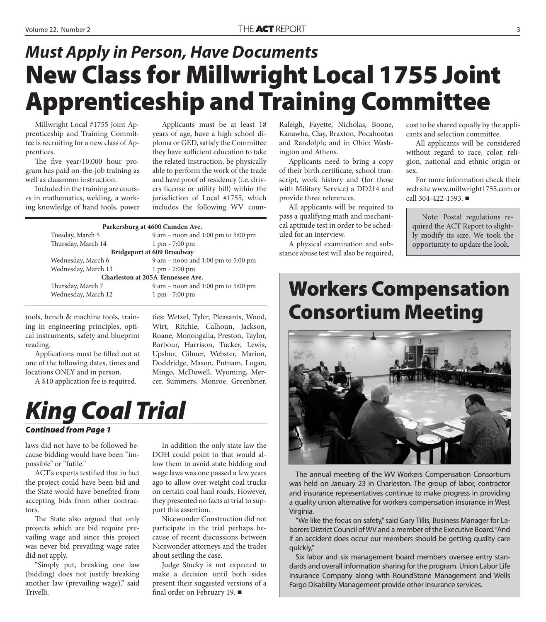## **New Class for Millwright Local 1755 Joint Apprenticeship and Training Committee** *Must Apply in Person, Have Documents*

Millwright Local #1755 Joint Apprenticeship and Training Committee is recruiting for a new class of Apprentices.

The five  $year/10,000$  hour program has paid on-the-job training as well as classroom instruction.

Included in the training are courses in mathematics, welding, a working knowledge of hand tools, power

Applicants must be at least 18 years of age, have a high school diploma or GED, satisfy the Committee they have sufficient education to take the related instruction, be physically able to perform the work of the trade and have proof of residency (i.e. drivers license or utility bill) within the jurisdiction of Local #1755, which includes the following WV coun-

| Parkersburg at 4600 Camden Ave.      |  |  |
|--------------------------------------|--|--|
| $9$ am – noon and 1:00 pm to 5:00 pm |  |  |
|                                      |  |  |
| Bridgeport at 609 Broadway           |  |  |
| $9$ am – noon and 1:00 pm to 5:00 pm |  |  |
|                                      |  |  |
| Charleston at 205A Tennessee Ave.    |  |  |
| 9 am – noon and 1:00 pm to 5:00 pm   |  |  |
|                                      |  |  |
|                                      |  |  |

tools, bench & machine tools, training in engineering principles, optical instruments, safety and blueprint reading.

Applications must be filled out at one of the following dates, times and locations ONLY and in person.

A \$10 application fee is required.

ties: Wetzel, Tyler, Pleasants, Wood, Wirt, Ritchie, Calhoun, Jackson, Roane, Monongalia, Preston, Taylor, Barbour, Harrison, Tucker, Lewis, Upshur, Gilmer, Webster, Marion, Doddridge, Mason, Putnam, Logan, Mingo, McDowell, Wyoming, Mercer, Summers, Monroe, Greenbrier,

## *King Coal Trial*

#### *Continued from Page 1*

laws did not have to be followed because bidding would have been "impossible" or "futile."

ACT's experts testified that in fact the project could have been bid and the State would have benefited from accepting bids from other contractors.

The State also argued that only projects which are bid require prevailing wage and since this project was never bid prevailing wage rates did not apply.

"Simply put, breaking one law (bidding) does not justify breaking another law (prevailing wage)." said Trivelli.

In addition the only state law the DOH could point to that would allow them to avoid state bidding and wage laws was one passed a few years ago to allow over-weight coal trucks on certain coal haul roads. However, they presented no facts at trial to support this assertion.

Nicewonder Construction did not participate in the trial perhaps because of recent discussions between Nicewonder attorneys and the trades about settling the case.

Judge Stucky is not expected to make a decision until both sides present their suggested versions of a final order on February 19.  $\blacksquare$ 

Raleigh, Fayette, Nicholas, Boone, Kanawha, Clay, Braxton, Pocahontas and Randolph; and in Ohio: Washington and Athens.

Applicants need to bring a copy of their birth certificate, school transcript, work history and (for those with Military Service) a DD214 and provide three references.

All applicants will be required to pass a qualifying math and mechanical aptitude test in order to be scheduled for an interview.

A physical examination and substance abuse test will also be required, cost to be shared equally by the applicants and selection committee.

All applicants will be considered without regard to race, color, religion, national and ethnic origin or sex.

For more information check their web site www.millwright1755.com or call  $304 - 422 - 1593$ .

Note: Postal regulations required the ACT Report to slightly modify its size. We took the opportunity to update the look.

#### **Workers Compensation Consortium Meeting**



The annual meeting of the WV Workers Compensation Consortium was held on January 23 in Charleston. The group of labor, contractor and insurance representatives continue to make progress in providing a quality union alternative for workers compensation insurance in West Virginia.

"We like the focus on safety," said Gary Tillis, Business Manager for Laborers District Council of WV and a member of the Executive Board. "And if an accident does occur our members should be getting quality care quickly,"

Six labor and six management board members oversee entry standards and overall information sharing for the program. Union Labor Life Insurance Company along with RoundStone Management and Wells Fargo Disability Management provide other insurance services.